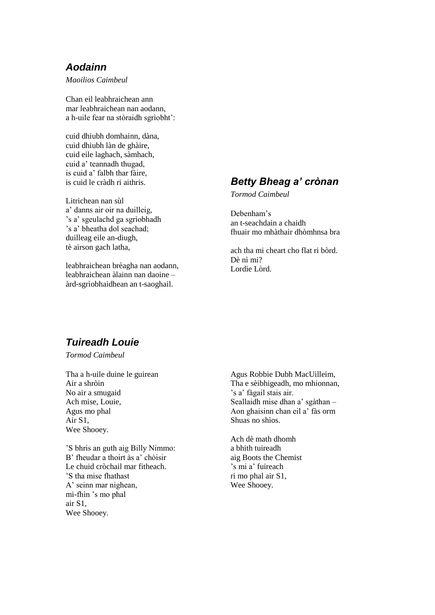### *Aodainn*

*Maoilios Caimbeul*

Chan eil leabhraichean ann mar leabhraichean nan aodann, a h-uile fear na stòraidh sgrìobht':

cuid dhiubh domhainn, dàna, cuid dhiubh làn de ghàire, cuid eile laghach, sàmhach, cuid a' teannadh thugad, is cuid a' falbh thar fàire, is cuid le cràdh ri aithris.

Litrichean nan sùl a' danns air oir na duilleig, 's a' sgeulachd ga sgrìobhadh 's a' bheatha dol seachad; duilleag eile an-diugh, tè airson gach latha,

leabhraichean brèagha nan aodann, leabhraichean àlainn nan daoine – àrd-sgrìobhaidhean an t-saoghail.

### *Betty Bheag a' crònan*

*Tormod Caimbeul*

Debenham's an t-seachdain a chaidh fhuair mo mhàthair dhòmhnsa bra

ach tha mi cheart cho flat ri bòrd. Dè nì mi? Lordie Lòrd.

# *Tuireadh Louie*

*Tormod Caimbeul*

Tha a h-uile duine le guirean Air a shròin No air a smugaid Ach mise, Louie, Agus mo phal Air S1, Wee Shooey.

'S bhris an guth aig Billy Nimmo: B' fheudar a thoirt às a' chòisir Le chuid cròchail mar fitheach. 'S tha mise fhathast A' seinn mar nighean, mi-fhìn 's mo phal air S1, Wee Shooey.

Agus Robbie Dubh MacUilleim, Tha e sèibhigeadh, mo mhionnan, 's a' fàgail stais air. Seallaidh mise dhan a' sgàthan – Aon ghaisinn chan eil a' fàs orm Shuas no shìos.

Ach dè math dhomh a bhith tuireadh aig Boots the Chemist 's mi a' fuireach ri mo phal air S1, Wee Shooey.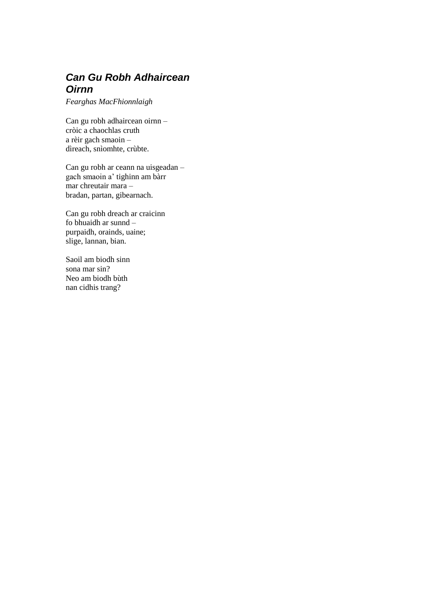## *Can Gu Robh Adhaircean Oirnn*

*Fearghas MacFhionnlaigh*

Can gu robh adhaircean oirnn – cròic a chaochlas cruth a rèir gach smaoin – dìreach, snìomhte, crùbte.

Can gu robh ar ceann na uisgeadan – gach smaoin a' tighinn am bàrr mar chreutair mara – bradan, partan, gibearnach.

Can gu robh dreach ar craicinn fo bhuaidh ar sunnd – purpaidh, orainds, uaine; slige, lannan, bian.

Saoil am biodh sinn sona mar sin? Neo am biodh bùth nan cidhis trang?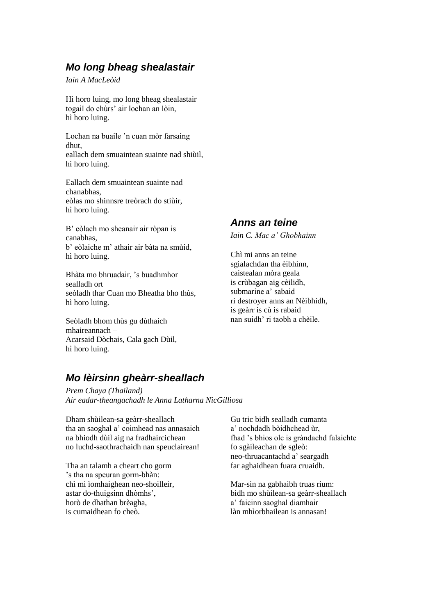## *Mo long bheag shealastair*

*Iain A MacLeòid*

Hì horo luing, mo long bheag shealastair togail do chùrs' air lochan an lòin, hì horo luing.

Lochan na buaile 'n cuan mòr farsaing dhut, eallach dem smuaintean suainte nad shiùil, hì horo luing.

Eallach dem smuaintean suainte nad chanabhas, eòlas mo shinnsre treòrach do stiùir, hì horo luing.

B' eòlach mo sheanair air ròpan is canabhas, b' eòlaiche m' athair air bàta na smùid, hì horo luing.

Bhàta mo bhruadair, 's buadhmhor sealladh ort seòladh thar Cuan mo Bheatha bho thùs, hì horo luing.

Seòladh bhom thùs gu dùthaich mhaireannach – Acarsaid Dòchais, Cala gach Dùil, hì horo luing.

## *Mo lèirsinn gheàrr-sheallach*

*Prem Chaya (Thailand) Air eadar-theangachadh le Anna Latharna NicGillìosa*

Dham shùilean-sa geàrr-sheallach tha an saoghal a' coimhead nas annasaich na bhiodh dùil aig na fradhaircichean no luchd-saothrachaidh nan speuclairean!

Tha an talamh a cheart cho gorm 's tha na speuran gorm-bhàn: chì mi ìomhaighean neo-shoilleir, astar do-thuigsinn dhòmhs', horò de dhathan brèagha, is cumaidhean fo cheò.

#### Gu tric bidh sealladh cumanta a' nochdadh bòidhchead ùr fhad 's bhios olc is gràndachd falaichte fo sgàileachan de sgleò: neo-thruacantachd a' seargadh far aghaidhean fuara cruaidh.

Mar-sin na gabhaibh truas rium: bidh mo shùilean-sa geàrr-sheallach a' faicinn saoghal diamhair làn mhìorbhailean is annasan!

### *Anns an teine*

*Iain C. Mac a' Ghobhainn*

Chì mi anns an teine sgialachdan tha èibhinn, caistealan mòra geala is crùbagan aig cèilidh, submarine a' sabaid ri destroyer anns an Nèibhidh, is geàrr is cù is rabaid nan suidh' ri taobh a chèile.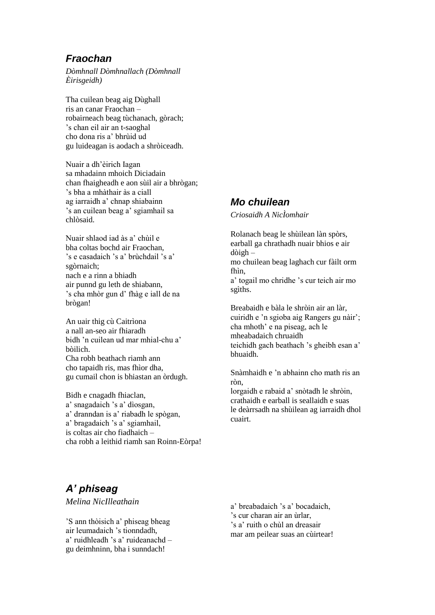### *Fraochan*

*Dòmhnall Dòmhnallach (Dòmhnall Èirisgeidh)*

Tha cuilean beag aig Dùghall ris an canar Fraochan – robairneach beag tùchanach, gòrach; 's chan eil air an t-saoghal cho dona ris a' bhrùid ud gu luideagan is aodach a shròiceadh.

Nuair a dh'èirich Iagan sa mhadainn mhoich Diciadain chan fhaigheadh e aon sùil air a bhrògan; 's bha a mhàthair às a ciall ag iarraidh a' chnap shiabainn 's an cuilean beag a' sgiamhail sa chlòsaid.

Nuair shlaod iad às a' chùil e bha coltas bochd air Fraochan, 's e casadaich 's a' brùchdail 's a' sgòrnaich; nach e a rinn a bhiadh air punnd gu leth de shiabann, 's cha mhòr gun d' fhàg e iall de na brògan!

An uair thig cù Caitrìona a nall an-seo air fhiaradh bidh 'n cuilean ud mar mhial-chu a' bòilich. Cha robh beathach riamh ann cho tapaidh ris, mas fhìor dha, gu cumail chon is bhiastan an òrdugh.

Bidh e cnagadh fhiaclan, a' snagadaich 's a' dìosgan, a' dranndan is a' riabadh le spògan, a' bragadaich 's a' sgiamhail, is coltas air cho fiadhaich – cha robh a leithid riamh san Roinn-Eòrpa!

#### *Mo chuilean*

*Criosaidh A NicÌomhair*

Rolanach beag le shùilean làn spòrs, earball ga chrathadh nuair bhios e air dòigh –

mo chuilean beag laghach cur fàilt orm fhìn,

a' togail mo chridhe 's cur teich air mo sgìths.

Breabaidh e bàla le shròin air an làr, cuiridh e 'n sgioba aig Rangers gu nàir'; cha mhoth' e na piseag, ach le mheabadaich chruaidh teichidh gach beathach 's gheibh esan a' bhuaidh.

Snàmhaidh e 'n abhainn cho math ris an ròn,

lorgaidh e rabaid a' snòtadh le shròin, crathaidh e earball is seallaidh e suas le deàrrsadh na shùilean ag iarraidh dhol cuairt.

## *A' phiseag*

*Melina NicIlleathain*

'S ann thòisich a' phiseag bheag air leumadaich 's tionndadh, a' ruidhleadh 's a' ruideanachd – gu deimhninn, bha i sunndach!

a' breabadaich 's a' bocadaich, 's cur charan air an ùrlar, 's a' ruith o chùl an dreasair mar am peilear suas an cùirtear!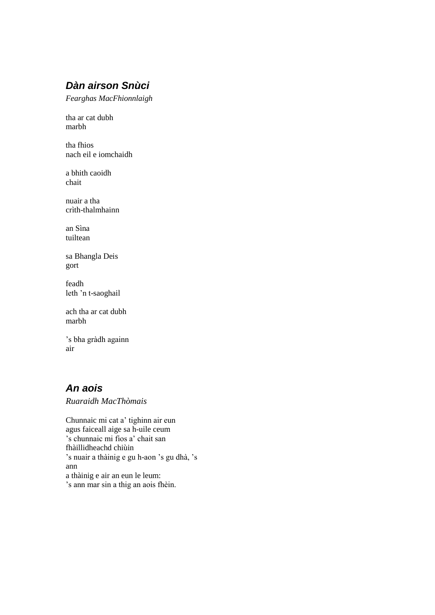# *Dàn airson Snùci*

*Fearghas MacFhionnlaigh*

tha ar cat dubh marbh

tha fhios nach eil e iomchaidh

a bhith caoidh chait

nuair a tha crìth-thalmhainn

an Sìna tuiltean

sa Bhangla Deis gort

feadh leth 'n t-saoghail

ach tha ar cat dubh marbh

's bha gràdh againn air

### *An aois*

*Ruaraidh MacThòmais*

Chunnaic mi cat a' tighinn air eun agus faiceall aige sa h-uile ceum 's chunnaic mi fios a' chait san fhàillidheachd chiùin 's nuair a thàinig e gu h-aon 's gu dhà, 's ann a thàinig e air an eun le leum: 's ann mar sin a thig an aois fhèin.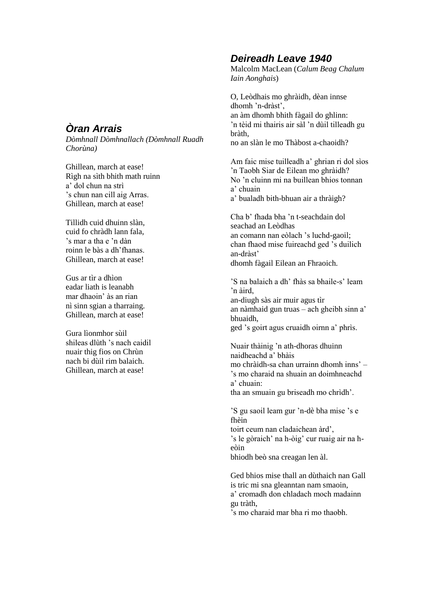## *Òran Arrais*

*Dòmhnall Dòmhnallach (Dòmhnall Ruadh Chorùna)*

Ghillean, march at ease! Rìgh na sìth bhith math ruinn a' dol chun na strì 's chun nan cill aig Arras. Ghillean, march at ease!

Tillidh cuid dhuinn slàn, cuid fo chràdh lann fala, 's mar a tha e 'n dàn roinn le bàs a dh'fhanas. Ghillean, march at ease!

Gus ar tìr a dhìon eadar liath is leanabh mar dhaoin' às an rian nì sinn sgian a tharraing. Ghillean, march at ease!

Gura lìonmhor sùil shileas dlùth 's nach caidil nuair thig fios on Chrùn nach bi dùil rim balaich. Ghillean, march at ease!

### *Deireadh Leave 1940*

Malcolm MacLean (*Calum Beag Chalum Iain Aonghais*)

O, Leòdhais mo ghràidh, dèan innse dhomh 'n-dràst', an àm dhomh bhith fàgail do ghlinn: 'n tèid mi thairis air sàl 'n dùil tilleadh gu bràth, no an slàn le mo Thàbost a-chaoidh?

Am faic mise tuilleadh a' ghrian ri dol sìos 'n Taobh Siar de Eilean mo ghràidh? No 'n cluinn mi na buillean bhios tonnan a' chuain a' bualadh bith-bhuan air a thràigh?

Cha b' fhada bha 'n t-seachdain dol seachad an Leòdhas an comann nan eòlach 's luchd-gaoil; chan fhaod mise fuireachd ged 's duilich an-dràst' dhomh fàgail Eilean an Fhraoich.

'S na balaich a dh' fhàs sa bhaile-s' leam 'n àird, an-diugh sàs air muir agus tìr an nàmhaid gun truas – ach gheibh sinn a' bhuaidh,

ged 's goirt agus cruaidh oirnn a' phrìs.

Nuair thàinig 'n ath-dhoras dhuinn naidheachd a' bhàis mo chràidh-sa chan urrainn dhomh inns' – 's mo charaid na shuain an doimhneachd a' chuain: tha an smuain gu briseadh mo chrìdh'.

'S gu saoil leam gur 'n-dè bha mise 's e fhèin

toirt ceum nan cladaichean àrd', 's le gòraich' na h-òig' cur ruaig air na heòin

bhiodh beò sna creagan len àl.

Ged bhios mise thall an dùthaich nan Gall is tric mi sna gleanntan nam smaoin, a' cromadh don chladach moch madainn gu tràth,

's mo charaid mar bha ri mo thaobh.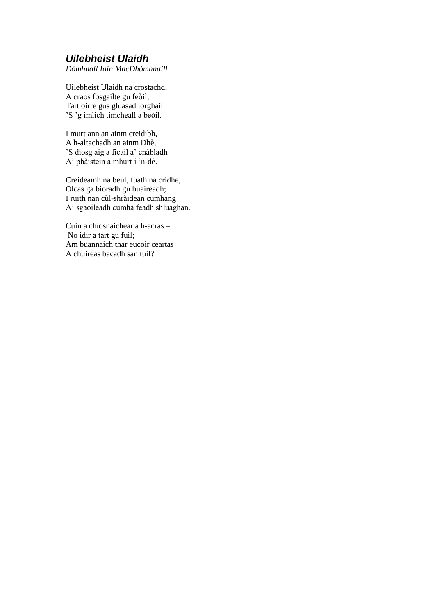### *Uilebheist Ulaidh*

*Dòmhnall Iain MacDhòmhnaill*

Uilebheist Ulaidh na crostachd, A craos fosgailte gu feòil; Tart oirre gus gluasad iorghail 'S 'g imlich timcheall a beòil.

I murt ann an ainm creidibh, A h-altachadh an ainm Dhè, 'S dìosg aig a ficail a' cnàbladh A' phàistein a mhurt i 'n-dè.

Creideamh na beul, fuath na cridhe, Olcas ga bioradh gu buaireadh; I ruith nan cùl-shràidean cumhang A' sgaoileadh cumha feadh shluaghan.

Cuin a chìosnaichear a h-acras – No idir a tart gu fuil; Am buannaich thar eucoir ceartas A chuireas bacadh san tuil?